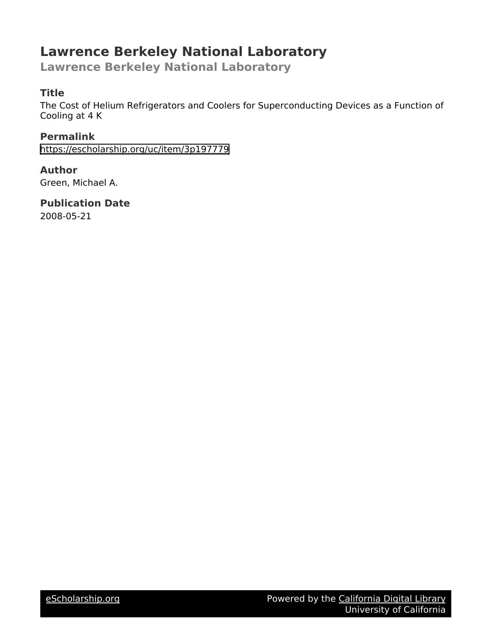# **Lawrence Berkeley National Laboratory**

**Lawrence Berkeley National Laboratory**

# **Title**

The Cost of Helium Refrigerators and Coolers for Superconducting Devices as a Function of Cooling at 4 K

**Permalink** <https://escholarship.org/uc/item/3p197779>

# **Author**

Green, Michael A.

**Publication Date**

2008-05-21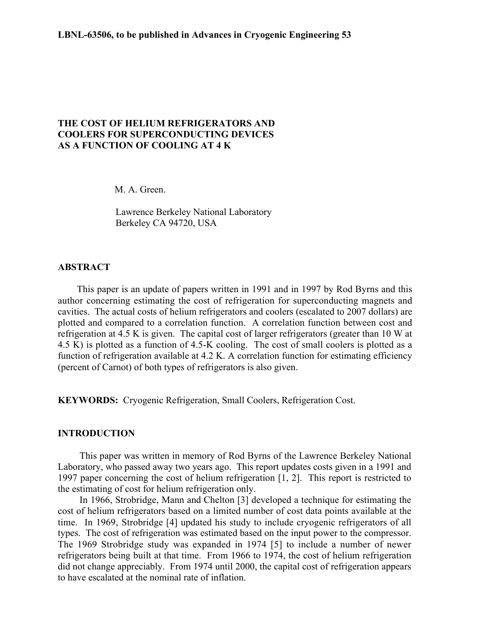## **THE COST OF HELIUM REFRIGERATORS AND COOLERS FOR SUPERCONDUCTING DEVICES AS A FUNCTION OF COOLING AT 4 K**

M. A. Green.

Lawrence Berkeley National Laboratory Berkeley CA 94720, USA

# **ABSTRACT**

This paper is an update of papers written in 1991 and in 1997 by Rod Byrns and this author concerning estimating the cost of refrigeration for superconducting magnets and cavities. The actual costs of helium refrigerators and coolers (escalated to 2007 dollars) are plotted and compared to a correlation function. A correlation function between cost and refrigeration at 4.5 K is given. The capital cost of larger refrigerators (greater than 10 W at 4.5 K) is plotted as a function of 4.5-K cooling. The cost of small coolers is plotted as a function of refrigeration available at 4.2 K. A correlation function for estimating efficiency (percent of Carnot) of both types of refrigerators is also given.

**KEYWORDS:** Cryogenic Refrigeration, Small Coolers, Refrigeration Cost.

### **INTRODUCTION**

This paper was written in memory of Rod Byrns of the Lawrence Berkeley National Laboratory, who passed away two years ago. This report updates costs given in a 1991 and 1997 paper concerning the cost of helium refrigeration [1, 2]. This report is restricted to the estimating of cost for helium refrigeration only.

In 1966, Strobridge, Mann and Chelton [3] developed a technique for estimating the cost of helium refrigerators based on a limited number of cost data points available at the time. In 1969, Strobridge [4] updated his study to include cryogenic refrigerators of all types. The cost of refrigeration was estimated based on the input power to the compressor. The 1969 Strobridge study was expanded in 1974 [5] to include a number of newer refrigerators being built at that time. From 1966 to 1974, the cost of helium refrigeration did not change appreciably. From 1974 until 2000, the capital cost of refrigeration appears to have escalated at the nominal rate of inflation.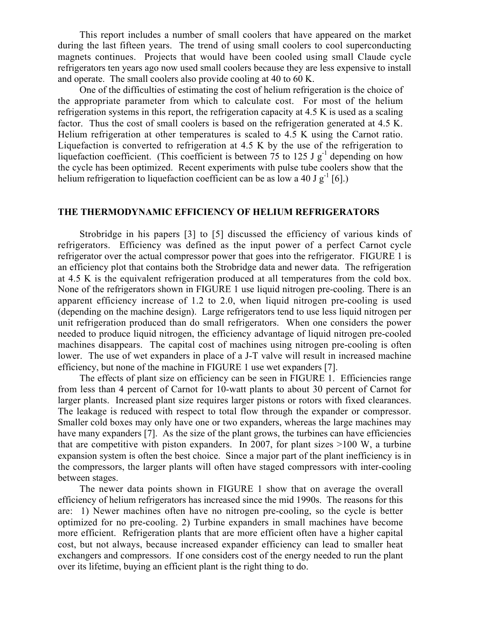This report includes a number of small coolers that have appeared on the market during the last fifteen years. The trend of using small coolers to cool superconducting magnets continues. Projects that would have been cooled using small Claude cycle refrigerators ten years ago now used small coolers because they are less expensive to install and operate. The small coolers also provide cooling at 40 to 60 K.

One of the difficulties of estimating the cost of helium refrigeration is the choice of the appropriate parameter from which to calculate cost. For most of the helium refrigeration systems in this report, the refrigeration capacity at 4.5 K is used as a scaling factor. Thus the cost of small coolers is based on the refrigeration generated at 4.5 K. Helium refrigeration at other temperatures is scaled to 4.5 K using the Carnot ratio. Liquefaction is converted to refrigeration at 4.5 K by the use of the refrigeration to liquefaction coefficient. (This coefficient is between 75 to 125 J  $g^{-1}$  depending on how the cycle has been optimized. Recent experiments with pulse tube coolers show that the helium refrigeration to liquefaction coefficient can be as low a 40 J  $g^{-1}$  [6].)

# **THE THERMODYNAMIC EFFICIENCY OF HELIUM REFRIGERATORS**

Strobridge in his papers [3] to [5] discussed the efficiency of various kinds of refrigerators. Efficiency was defined as the input power of a perfect Carnot cycle refrigerator over the actual compressor power that goes into the refrigerator. FIGURE 1 is an efficiency plot that contains both the Strobridge data and newer data. The refrigeration at 4.5 K is the equivalent refrigeration produced at all temperatures from the cold box. None of the refrigerators shown in FIGURE 1 use liquid nitrogen pre-cooling. There is an apparent efficiency increase of 1.2 to 2.0, when liquid nitrogen pre-cooling is used (depending on the machine design). Large refrigerators tend to use less liquid nitrogen per unit refrigeration produced than do small refrigerators. When one considers the power needed to produce liquid nitrogen, the efficiency advantage of liquid nitrogen pre-cooled machines disappears. The capital cost of machines using nitrogen pre-cooling is often lower. The use of wet expanders in place of a J-T valve will result in increased machine efficiency, but none of the machine in FIGURE 1 use wet expanders [7].

The effects of plant size on efficiency can be seen in FIGURE 1. Efficiencies range from less than 4 percent of Carnot for 10-watt plants to about 30 percent of Carnot for larger plants. Increased plant size requires larger pistons or rotors with fixed clearances. The leakage is reduced with respect to total flow through the expander or compressor. Smaller cold boxes may only have one or two expanders, whereas the large machines may have many expanders [7]. As the size of the plant grows, the turbines can have efficiencies that are competitive with piston expanders. In 2007, for plant sizes  $>100$  W, a turbine expansion system is often the best choice. Since a major part of the plant inefficiency is in the compressors, the larger plants will often have staged compressors with inter-cooling between stages.

The newer data points shown in FIGURE 1 show that on average the overall efficiency of helium refrigerators has increased since the mid 1990s. The reasons for this are: 1) Newer machines often have no nitrogen pre-cooling, so the cycle is better optimized for no pre-cooling. 2) Turbine expanders in small machines have become more efficient. Refrigeration plants that are more efficient often have a higher capital cost, but not always, because increased expander efficiency can lead to smaller heat exchangers and compressors. If one considers cost of the energy needed to run the plant over its lifetime, buying an efficient plant is the right thing to do.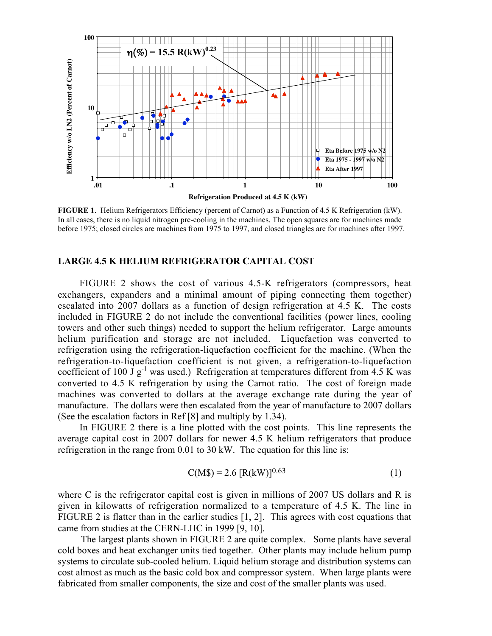

**FIGURE 1**. Helium Refrigerators Efficiency (percent of Carnot) as a Function of 4.5 K Refrigeration (kW). In all cases, there is no liquid nitrogen pre-cooling in the machines. The open squares are for machines made before 1975; closed circles are machines from 1975 to 1997, and closed triangles are for machines after 1997.

#### **LARGE 4.5 K HELIUM REFRIGERATOR CAPITAL COST**

FIGURE 2 shows the cost of various 4.5-K refrigerators (compressors, heat exchangers, expanders and a minimal amount of piping connecting them together) escalated into 2007 dollars as a function of design refrigeration at 4.5 K. The costs included in FIGURE 2 do not include the conventional facilities (power lines, cooling towers and other such things) needed to support the helium refrigerator. Large amounts helium purification and storage are not included. Liquefaction was converted to refrigeration using the refrigeration-liquefaction coefficient for the machine. (When the refrigeration-to-liquefaction coefficient is not given, a refrigeration-to-liquefaction coefficient of 100  $\dot{J}g^{-1}$  was used.) Refrigeration at temperatures different from 4.5 K was converted to 4.5 K refrigeration by using the Carnot ratio. The cost of foreign made machines was converted to dollars at the average exchange rate during the year of manufacture. The dollars were then escalated from the year of manufacture to 2007 dollars (See the escalation factors in Ref [8] and multiply by 1.34).

In FIGURE 2 there is a line plotted with the cost points. This line represents the average capital cost in 2007 dollars for newer 4.5 K helium refrigerators that produce refrigeration in the range from 0.01 to 30 kW. The equation for this line is:

$$
C(M\$\)=2.6\,[R(kW)]^{0.63}\tag{1}
$$

where C is the refrigerator capital cost is given in millions of 2007 US dollars and R is given in kilowatts of refrigeration normalized to a temperature of 4.5 K. The line in FIGURE 2 is flatter than in the earlier studies [1, 2]. This agrees with cost equations that came from studies at the CERN-LHC in 1999 [9, 10].

The largest plants shown in FIGURE 2 are quite complex. Some plants have several cold boxes and heat exchanger units tied together. Other plants may include helium pump systems to circulate sub-cooled helium. Liquid helium storage and distribution systems can cost almost as much as the basic cold box and compressor system. When large plants were fabricated from smaller components, the size and cost of the smaller plants was used.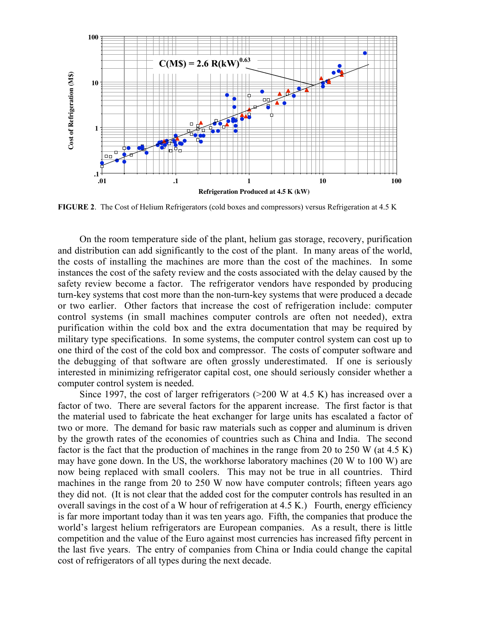

**FIGURE 2**. The Cost of Helium Refrigerators (cold boxes and compressors) versus Refrigeration at 4.5 K

On the room temperature side of the plant, helium gas storage, recovery, purification and distribution can add significantly to the cost of the plant. In many areas of the world, the costs of installing the machines are more than the cost of the machines. In some instances the cost of the safety review and the costs associated with the delay caused by the safety review become a factor. The refrigerator vendors have responded by producing turn-key systems that cost more than the non-turn-key systems that were produced a decade or two earlier. Other factors that increase the cost of refrigeration include: computer control systems (in small machines computer controls are often not needed), extra purification within the cold box and the extra documentation that may be required by military type specifications. In some systems, the computer control system can cost up to one third of the cost of the cold box and compressor. The costs of computer software and the debugging of that software are often grossly underestimated. If one is seriously interested in minimizing refrigerator capital cost, one should seriously consider whether a computer control system is needed.

Since 1997, the cost of larger refrigerators (>200 W at 4.5 K) has increased over a factor of two. There are several factors for the apparent increase. The first factor is that the material used to fabricate the heat exchanger for large units has escalated a factor of two or more. The demand for basic raw materials such as copper and aluminum is driven by the growth rates of the economies of countries such as China and India. The second factor is the fact that the production of machines in the range from 20 to 250 W (at 4.5 K) may have gone down. In the US, the workhorse laboratory machines (20 W to 100 W) are now being replaced with small coolers. This may not be true in all countries. Third machines in the range from 20 to 250 W now have computer controls; fifteen years ago they did not. (It is not clear that the added cost for the computer controls has resulted in an overall savings in the cost of a W hour of refrigeration at 4.5 K.) Fourth, energy efficiency is far more important today than it was ten years ago. Fifth, the companies that produce the world's largest helium refrigerators are European companies. As a result, there is little competition and the value of the Euro against most currencies has increased fifty percent in the last five years. The entry of companies from China or India could change the capital cost of refrigerators of all types during the next decade.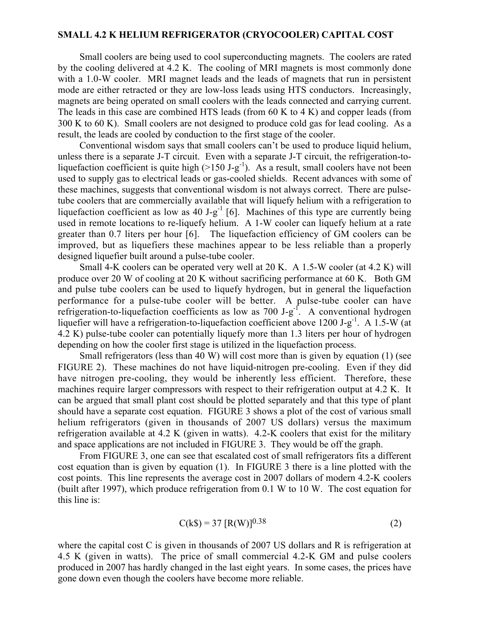#### **SMALL 4.2 K HELIUM REFRIGERATOR (CRYOCOOLER) CAPITAL COST**

Small coolers are being used to cool superconducting magnets. The coolers are rated by the cooling delivered at 4.2 K. The cooling of MRI magnets is most commonly done with a 1.0-W cooler. MRI magnet leads and the leads of magnets that run in persistent mode are either retracted or they are low-loss leads using HTS conductors. Increasingly, magnets are being operated on small coolers with the leads connected and carrying current. The leads in this case are combined HTS leads (from 60 K to 4 K) and copper leads (from 300 K to 60 K). Small coolers are not designed to produce cold gas for lead cooling. As a result, the leads are cooled by conduction to the first stage of the cooler.

Conventional wisdom says that small coolers can't be used to produce liquid helium, unless there is a separate J-T circuit. Even with a separate J-T circuit, the refrigeration-toliquefaction coefficient is quite high  $(>150 \text{ J-g}^{-1})$ . As a result, small coolers have not been used to supply gas to electrical leads or gas-cooled shields. Recent advances with some of these machines, suggests that conventional wisdom is not always correct. There are pulsetube coolers that are commercially available that will liquefy helium with a refrigeration to liquefaction coefficient as low as 40 J-g<sup>-1</sup> [6]. Machines of this type are currently being used in remote locations to re-liquefy helium. A 1-W cooler can liquefy helium at a rate greater than 0.7 liters per hour [6]. The liquefaction efficiency of GM coolers can be improved, but as liquefiers these machines appear to be less reliable than a properly designed liquefier built around a pulse-tube cooler.

Small 4-K coolers can be operated very well at 20 K. A 1.5-W cooler (at 4.2 K) will produce over 20 W of cooling at 20 K without sacrificing performance at 60 K. Both GM and pulse tube coolers can be used to liquefy hydrogen, but in general the liquefaction performance for a pulse-tube cooler will be better. A pulse-tube cooler can have refrigeration-to-liquefaction coefficients as low as 700 J-g<sup>-f</sup>. A conventional hydrogen liquefier will have a refrigeration-to-liquefaction coefficient above 1200 J-g<sup>-1</sup>. A 1.5-W (at 4.2 K) pulse-tube cooler can potentially liquefy more than 1.3 liters per hour of hydrogen depending on how the cooler first stage is utilized in the liquefaction process.

Small refrigerators (less than 40 W) will cost more than is given by equation (1) (see FIGURE 2). These machines do not have liquid-nitrogen pre-cooling. Even if they did have nitrogen pre-cooling, they would be inherently less efficient. Therefore, these machines require larger compressors with respect to their refrigeration output at 4.2 K. It can be argued that small plant cost should be plotted separately and that this type of plant should have a separate cost equation. FIGURE 3 shows a plot of the cost of various small helium refrigerators (given in thousands of 2007 US dollars) versus the maximum refrigeration available at 4.2 K (given in watts). 4.2-K coolers that exist for the military and space applications are not included in FIGURE 3. They would be off the graph.

From FIGURE 3, one can see that escalated cost of small refrigerators fits a different cost equation than is given by equation (1). In FIGURE 3 there is a line plotted with the cost points. This line represents the average cost in 2007 dollars of modern 4.2-K coolers (built after 1997), which produce refrigeration from 0.1 W to 10 W. The cost equation for this line is:

$$
C(k\$\) = 37 [R(W)]^{0.38} \tag{2}
$$

where the capital cost C is given in thousands of 2007 US dollars and R is refrigeration at 4.5 K (given in watts). The price of small commercial 4.2-K GM and pulse coolers produced in 2007 has hardly changed in the last eight years. In some cases, the prices have gone down even though the coolers have become more reliable.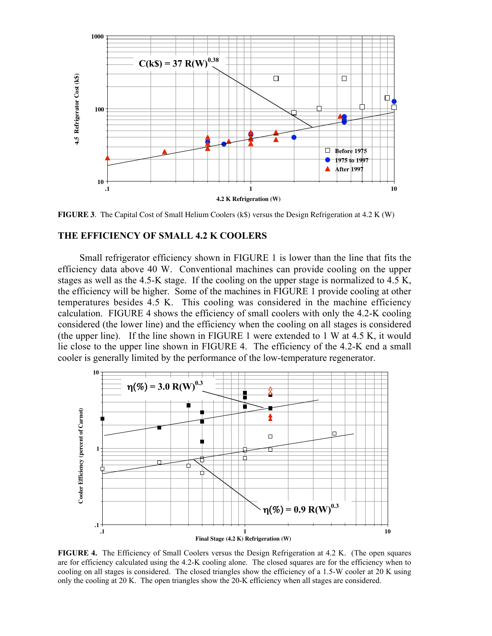

**FIGURE 3.** The Capital Cost of Small Helium Coolers (k\$) versus the Design Refrigeration at 4.2 K (W)

#### **THE EFFICIENCY OF SMALL 4.2 K COOLERS**

Small refrigerator efficiency shown in FIGURE 1 is lower than the line that fits the efficiency data above 40 W. Conventional machines can provide cooling on the upper stages as well as the 4.5-K stage. If the cooling on the upper stage is normalized to 4.5 K, the efficiency will be higher. Some of the machines in FIGURE 1 provide cooling at other temperatures besides 4.5 K. This cooling was considered in the machine efficiency calculation. FIGURE 4 shows the efficiency of small coolers with only the 4.2-K cooling considered (the lower line) and the efficiency when the cooling on all stages is considered (the upper line). If the line shown in FIGURE 1 were extended to 1 W at 4.5 K, it would lie close to the upper line shown in FIGURE 4. The efficiency of the 4.2-K end a small cooler is generally limited by the performance of the low-temperature regenerator.



**FIGURE 4.** The Efficiency of Small Coolers versus the Design Refrigeration at 4.2 K. (The open squares are for efficiency calculated using the 4.2-K cooling alone. The closed squares are for the efficiency when to cooling on all stages is considered. The closed triangles show the efficiency of a 1.5-W cooler at 20 K using only the cooling at 20 K. The open triangles show the 20-K efficiency when all stages are considered.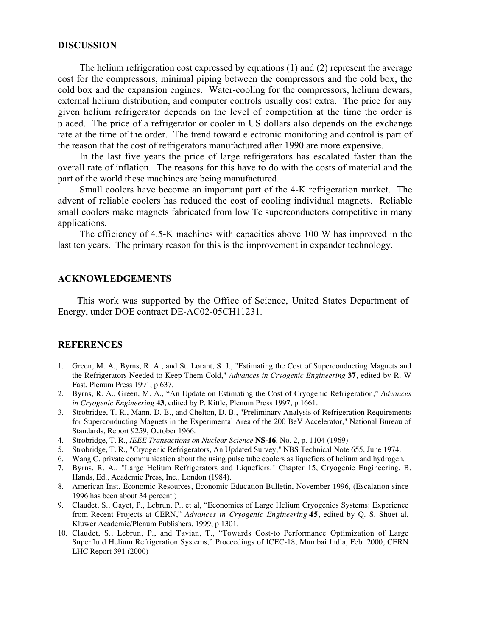#### **DISCUSSION**

The helium refrigeration cost expressed by equations (1) and (2) represent the average cost for the compressors, minimal piping between the compressors and the cold box, the cold box and the expansion engines. Water-cooling for the compressors, helium dewars, external helium distribution, and computer controls usually cost extra. The price for any given helium refrigerator depends on the level of competition at the time the order is placed. The price of a refrigerator or cooler in US dollars also depends on the exchange rate at the time of the order. The trend toward electronic monitoring and control is part of the reason that the cost of refrigerators manufactured after 1990 are more expensive.

In the last five years the price of large refrigerators has escalated faster than the overall rate of inflation. The reasons for this have to do with the costs of material and the part of the world these machines are being manufactured.

Small coolers have become an important part of the 4-K refrigeration market. The advent of reliable coolers has reduced the cost of cooling individual magnets. Reliable small coolers make magnets fabricated from low Tc superconductors competitive in many applications.

The efficiency of 4.5-K machines with capacities above 100 W has improved in the last ten years. The primary reason for this is the improvement in expander technology.

#### **ACKNOWLEDGEMENTS**

This work was supported by the Office of Science, United States Department of Energy, under DOE contract DE-AC02-05CH11231.

#### **REFERENCES**

- 1. Green, M. A., Byrns, R. A., and St. Lorant, S. J., "Estimating the Cost of Superconducting Magnets and the Refrigerators Needed to Keep Them Cold," *Advances in Cryogenic Engineering* **37**, edited by R. W Fast, Plenum Press 1991, p 637.
- 2. Byrns, R. A., Green, M. A., "An Update on Estimating the Cost of Cryogenic Refrigeration," *Advances in Cryogenic Engineering* **43**, edited by P. Kittle, Plenum Press 1997, p 1661.
- 3. Strobridge, T. R., Mann, D. B., and Chelton, D. B., "Preliminary Analysis of Refrigeration Requirements for Superconducting Magnets in the Experimental Area of the 200 BeV Accelerator," National Bureau of Standards, Report 9259, October 1966.
- 4. Strobridge, T. R., *IEEE Transactions on Nuclear Science* **NS-16**, No. 2, p. 1104 (1969).
- 5. Strobridge, T. R., "Cryogenic Refrigerators, An Updated Survey," NBS Technical Note 655, June 1974.
- 6. Wang C. private communication about the using pulse tube coolers as liquefiers of helium and hydrogen.
- 7. Byrns, R. A., "Large Helium Refrigerators and Liquefiers," Chapter 15, Cryogenic Engineering, B. Hands, Ed., Academic Press, Inc., London (1984).
- 8. American Inst. Economic Resources, Economic Education Bulletin, November 1996, (Escalation since 1996 has been about 34 percent.)
- 9. Claudet, S., Gayet, P., Lebrun, P., et al, "Economics of Large Helium Cryogenics Systems: Experience from Recent Projects at CERN," *Advances in Cryogenic Engineering* **45**, edited by Q. S. Shuet al, Kluwer Academic/Plenum Publishers, 1999, p 1301.
- 10. Claudet, S., Lebrun, P., and Tavian, T., "Towards Cost-to Performance Optimization of Large Superfluid Helium Refrigeration Systems," Proceedings of ICEC-18, Mumbai India, Feb. 2000, CERN LHC Report 391 (2000)